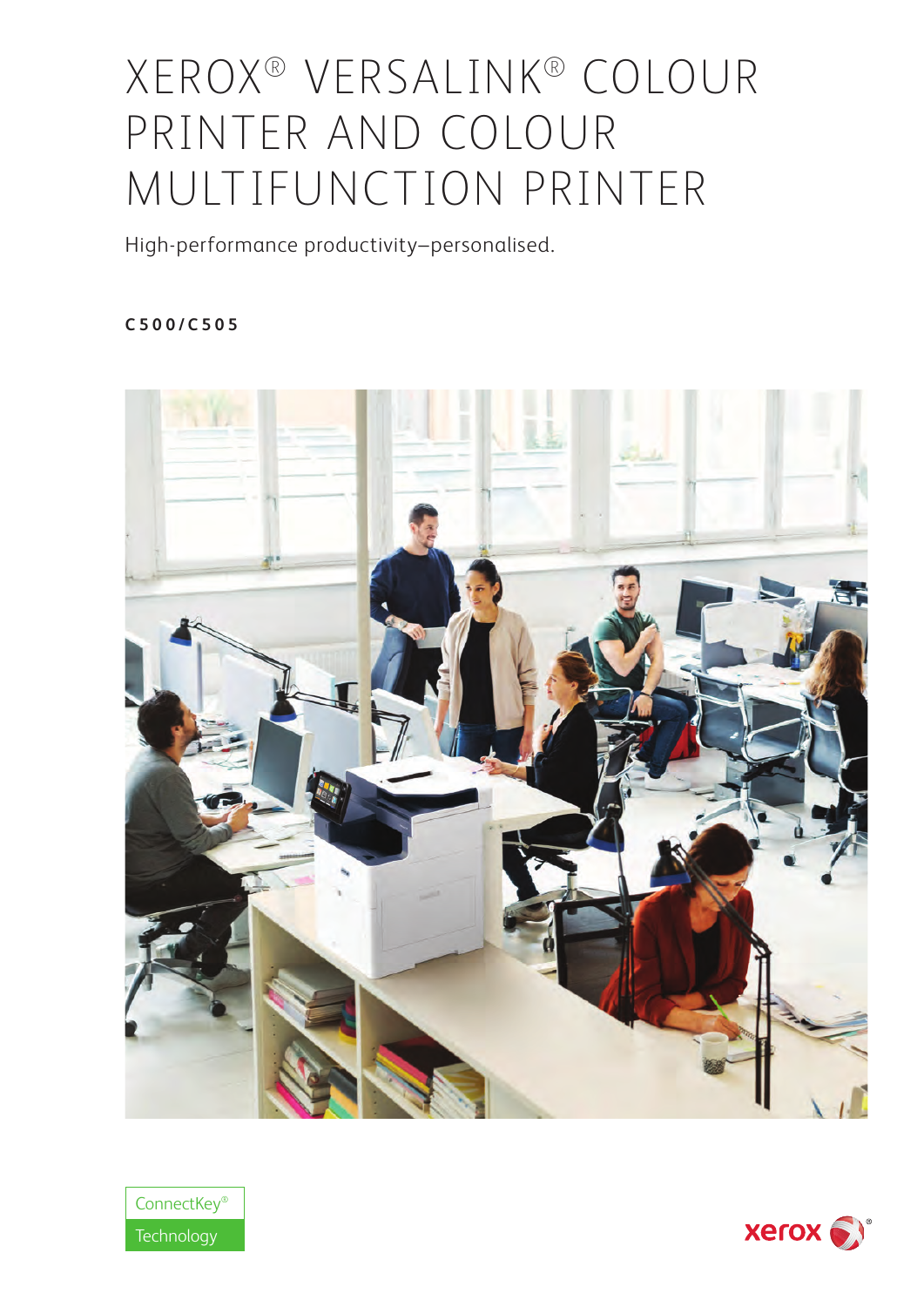# XEROX® VERSALINK® COLOUR PRINTER AND COLOUR MULTIFUNCTION PRINTER

High-performance productivity–personalised.

# **C500/C505**





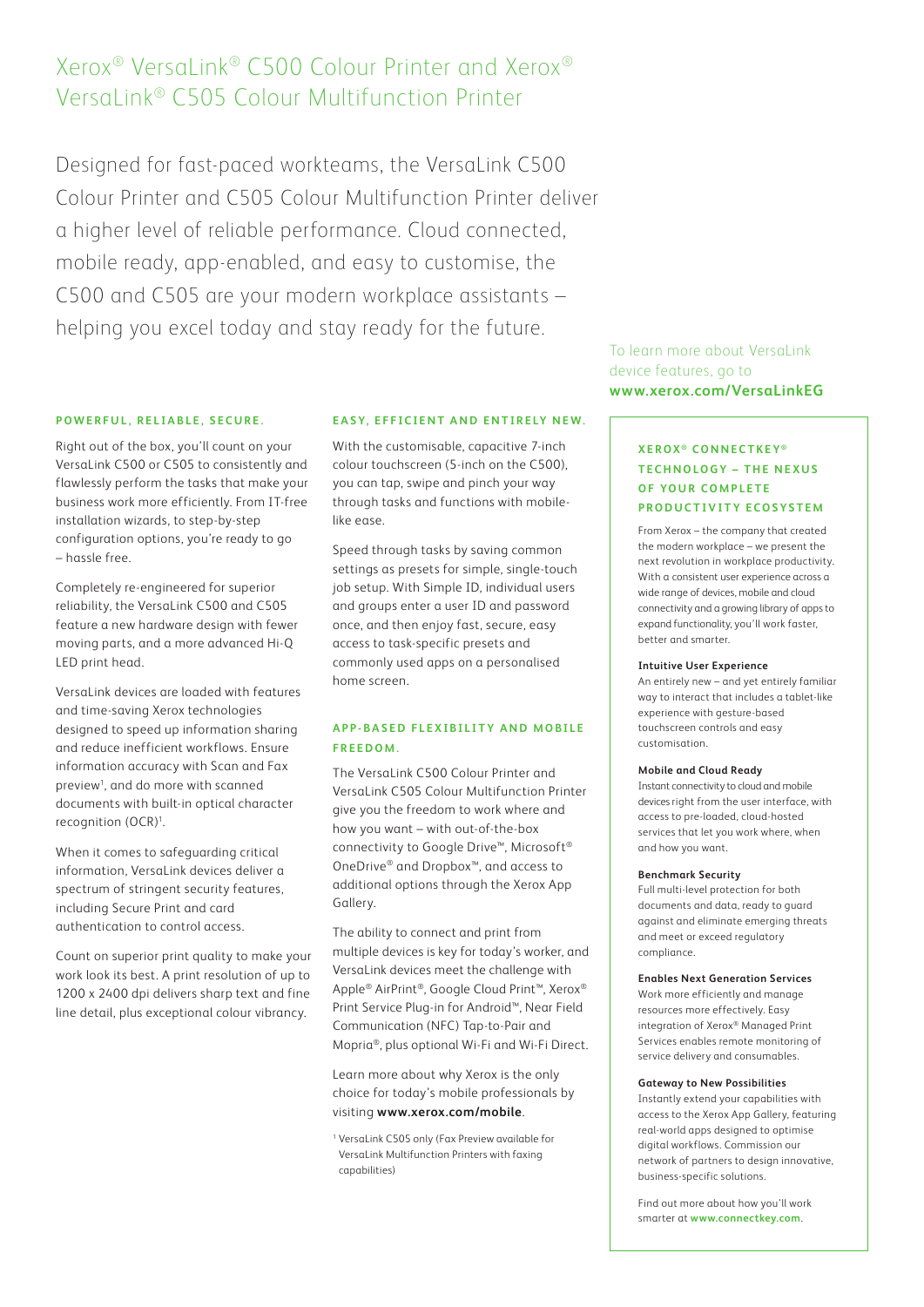# Xerox® VersaLink® C500 Colour Printer and Xerox® VersaLink® C505 Colour Multifunction Printer

Designed for fast-paced workteams, the VersaLink C500 Colour Printer and C505 Colour Multifunction Printer deliver a higher level of reliable performance. Cloud connected, mobile ready, app-enabled, and easy to customise, the C500 and C505 are your modern workplace assistants – helping you excel today and stay ready for the future.

## **P O W E R F U L , R E L I A B L E , S E C U R E .**

Right out of the box, you'll count on your VersaLink C500 or C505 to consistently and flawlessly perform the tasks that make your business work more efficiently. From IT-free installation wizards, to step-by-step configuration options, you're ready to go – hassle free.

Completely re-engineered for superior reliability, the VersaLink C500 and C505 feature a new hardware design with fewer moving parts, and a more advanced Hi-Q LED print head.

VersaLink devices are loaded with features and time-saving Xerox technologies designed to speed up information sharing and reduce inefficient workflows. Ensure information accuracy with Scan and Fax preview<sup>1</sup>, and do more with scanned documents with built-in optical character recognition (OCR)<sup>1</sup>. .

When it comes to safeguarding critical information, VersaLink devices deliver a spectrum of stringent security features, including Secure Print and card authentication to control access.

Count on superior print quality to make your work look its best. A print resolution of up to 1200 x 2400 dpi delivers sharp text and fine line detail, plus exceptional colour vibrancy.

#### **EASY, EFFICIENT AND ENTIRELY NEW.**

With the customisable, capacitive 7-inch colour touchscreen (5-inch on the C500), you can tap, swipe and pinch your way through tasks and functions with mobilelike ease.

Speed through tasks by saving common settings as presets for simple, single-touch job setup. With Simple ID, individual users and groups enter a user ID and password once, and then enjoy fast, secure, easy access to task-specific presets and commonly used apps on a personalised home screen.

## **A P P - B A S E D F L E X I B I L I T Y A N D M O B I L E FREEDOM.**

The VersaLink C500 Colour Printer and VersaLink C505 Colour Multifunction Printer give you the freedom to work where and how you want – with out-of-the-box connectivity to Google Drive™, Microsoft® OneDrive® and Dropbox™, and access to additional options through the Xerox App Gallery.

The ability to connect and print from multiple devices is key for today's worker, and VersaLink devices meet the challenge with Apple® AirPrint®, Google Cloud Print™, Xerox® Print Service Plug-in for Android™, Near Field Communication (NFC) Tap-to-Pair and Mopria®, plus optional Wi-Fi and Wi-Fi Direct.

Learn more about why Xerox is the only choice for today's mobile professionals by visiting **www.xerox.com/mobile**.

<sup>1</sup> VersaLink C505 only (Fax Preview available for VersaLink Multifunction Printers with faxing capabilities)

To learn more about VersaLink device features, go to **www.xerox.com/VersaLinkEG**

## **XEROX ® CONNECTKEY ® TECHNOLOGY – THE NEXUS OF YOUR COMPLETE PRODUCTIVITY ECOSYSTEM**

From Xerox – the company that created the modern workplace – we present the next revolution in workplace productivity. With a consistent user experience across a wide range of devices, mobile and cloud connectivity and a growing library of apps to expand functionality, you'll work faster, better and smarter.

#### **Intuitive User Experience**

An entirely new – and yet entirely familiar way to interact that includes a tablet-like experience with gesture-based touchscreen controls and easy customisation.

#### **Mobile and Cloud Ready**

Instant connectivity to cloud and mobile devices right from the user interface, with access to pre-loaded, cloud-hosted services that let you work where, when and how you want.

#### **Benchmark Security**

Full multi-level protection for both documents and data, ready to guard against and eliminate emerging threats and meet or exceed regulatory compliance.

#### **Enables Next Generation Services**

Work more efficiently and manage resources more effectively. Easy integration of Xerox® Managed Print Services enables remote monitoring of service delivery and consumables.

#### **Gateway to New Possibilities**

Instantly extend your capabilities with access to the Xerox App Gallery, featuring real-world apps designed to optimise digital workflows. Commission our network of partners to design innovative, business-specific solutions.

Find out more about how you'll work smarter at **www.connectkey.com**.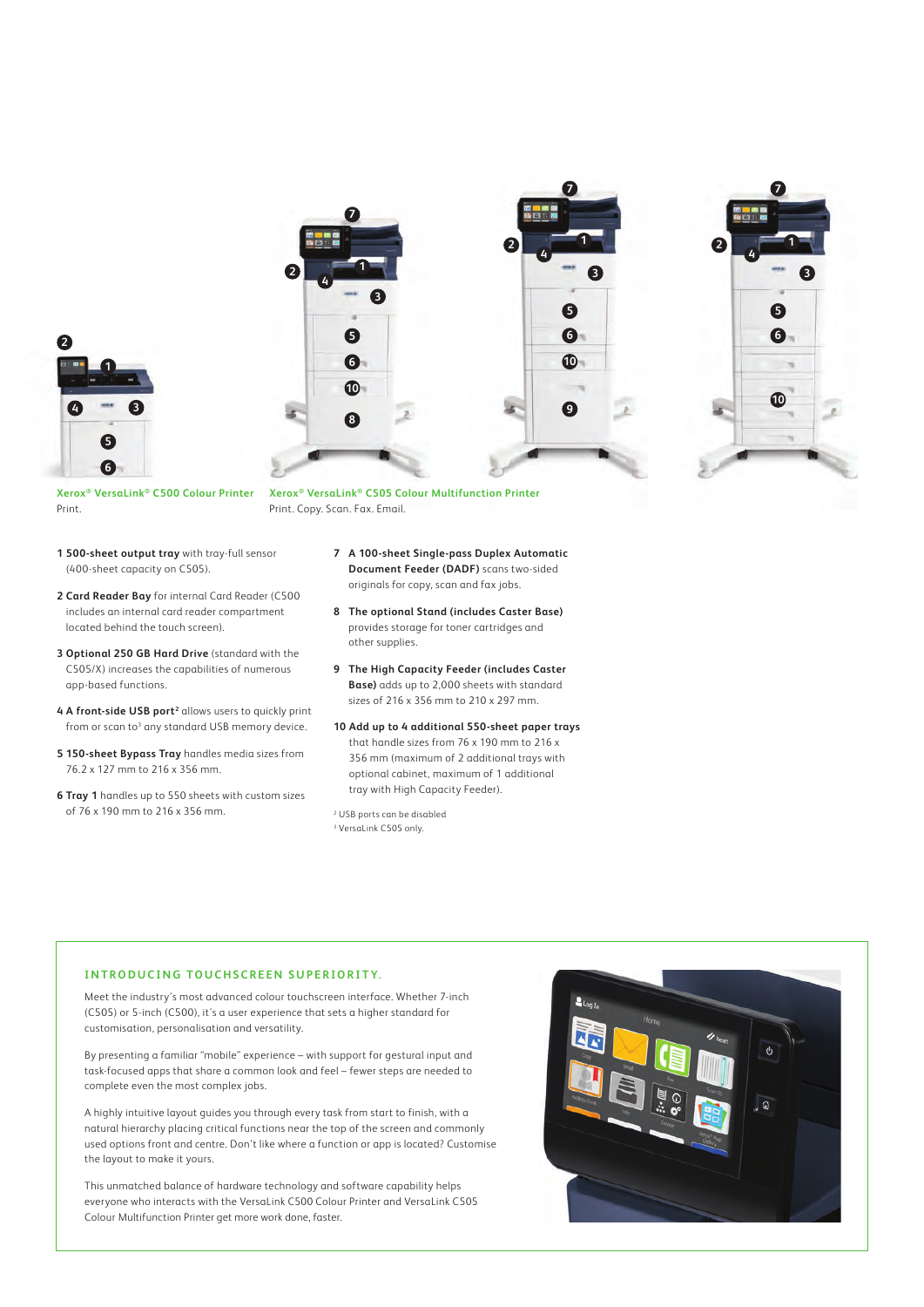





**Xerox® VersaLink® C500 Colour Printer** Print.

**Xerox® VersaLink® C505 Colour Multifunction Printer** Print. Copy. Scan. Fax. Email.

**2**

- **1 500-sheet output tray** with tray-full sensor (400-sheet capacity on C505).
- **2 Card Reader Bay** for internal Card Reader (C500 includes an internal card reader compartment located behind the touch screen).
- **3 Optional 250 GB Hard Drive** (standard with the C505/X) increases the capabilities of numerous app-based functions.
- 4 A front-side USB port<sup>2</sup> allows users to quickly print from or scan to<sup>3</sup> any standard USB memory device.
- **5 150-sheet Bypass Tray** handles media sizes from 76.2 x 127 mm to 216 x 356 mm.
- **6 Tray 1** handles up to 550 sheets with custom sizes of 76 x 190 mm to 216 x 356 mm.
- **7 A 100-sheet Single-pass Duplex Automatic Document Feeder (DADF)** scans two-sided originals for copy, scan and fax jobs.
- **8 The optional Stand (includes Caster Base)** provides storage for toner cartridges and other supplies.
- **9 The High Capacity Feeder (includes Caster Base)** adds up to 2,000 sheets with standard sizes of 216 x 356 mm to 210 x 297 mm.
- **10 Add up to 4 additional 550-sheet paper trays** that handle sizes from 76 x 190 mm to 216 x 356 mm (maximum of 2 additional trays with optional cabinet, maximum of 1 additional tray with High Capacity Feeder).

2 USB ports can be disabled 3 VersaLink C505 only.

#### **INTRODUCING TOUCHSCREEN SUPERIORITY.**

Meet the industry's most advanced colour touchscreen interface. Whether 7-inch (C505) or 5-inch (C500), it's a user experience that sets a higher standard for customisation, personalisation and versatility.

By presenting a familiar "mobile" experience – with support for gestural input and task-focused apps that share a common look and feel – fewer steps are needed to complete even the most complex jobs.

A highly intuitive layout guides you through every task from start to finish, with a natural hierarchy placing critical functions near the top of the screen and commonly used options front and centre. Don't like where a function or app is located? Customise the layout to make it yours.

This unmatched balance of hardware technology and software capability helps everyone who interacts with the VersaLink C500 Colour Printer and VersaLink C505 Colour Multifunction Printer get more work done, faster.